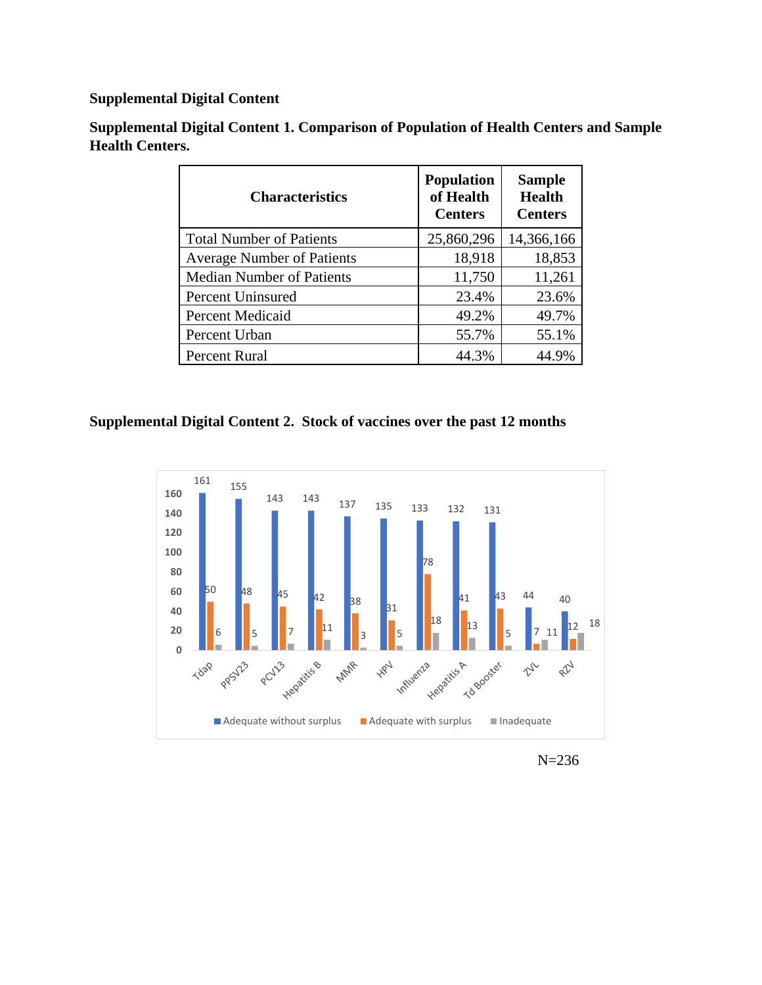## **Supplemental Digital Content**

| <b>Characteristics</b>            | <b>Population</b><br>of Health<br><b>Centers</b> | <b>Sample</b><br><b>Health</b><br><b>Centers</b> |
|-----------------------------------|--------------------------------------------------|--------------------------------------------------|
| <b>Total Number of Patients</b>   | 25,860,296                                       | 14,366,166                                       |
| <b>Average Number of Patients</b> | 18,918                                           | 18,853                                           |
| <b>Median Number of Patients</b>  | 11,750                                           | 11,261                                           |
| Percent Uninsured                 | 23.4%                                            | 23.6%                                            |
| <b>Percent Medicaid</b>           | 49.2%                                            | 49.7%                                            |
| Percent Urban                     | 55.7%                                            | 55.1%                                            |
| Percent Rural                     | 44.3%                                            | 44.9%                                            |

**Supplemental Digital Content 1. Comparison of Population of Health Centers and Sample Health Centers.** 

## **Supplemental Digital Content 2. Stock of vaccines over the past 12 months**



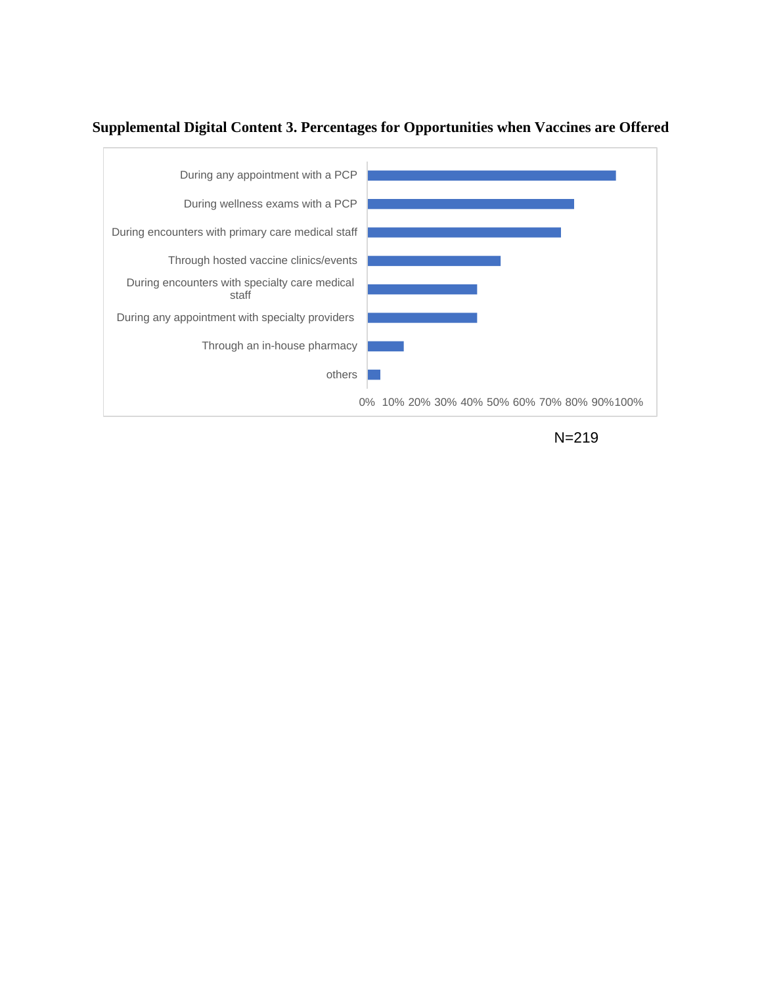

## **Supplemental Digital Content 3. Percentages for Opportunities when Vaccines are Offered**

N=219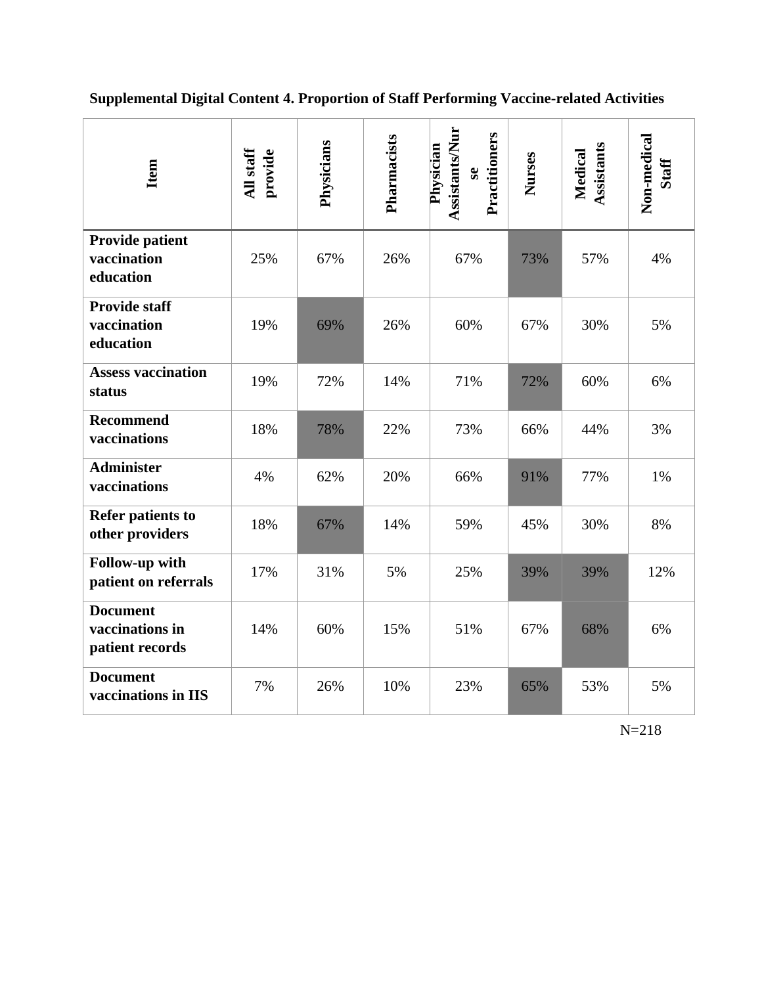**Supplemental Digital Content 4. Proportion of Staff Performing Vaccine-related Activities**

| Item                                                  | All staff<br>provide | Physicians | Pharmacists | <b>Assistants/Nur</b><br>Practitioners<br>Physician<br>$\mathbf{s}\mathbf{e}$ | Nurses | Assistants<br>Medical | Non-medical<br><b>Staff</b> |
|-------------------------------------------------------|----------------------|------------|-------------|-------------------------------------------------------------------------------|--------|-----------------------|-----------------------------|
| <b>Provide patient</b><br>vaccination<br>education    | 25%                  | 67%        | 26%         | 67%                                                                           | 73%    | 57%                   | 4%                          |
| <b>Provide staff</b><br>vaccination<br>education      | 19%                  | 69%        | 26%         | 60%                                                                           | 67%    | 30%                   | 5%                          |
| <b>Assess vaccination</b><br>status                   | 19%                  | 72%        | 14%         | 71%                                                                           | 72%    | 60%                   | 6%                          |
| <b>Recommend</b><br>vaccinations                      | 18%                  | 78%        | 22%         | 73%                                                                           | 66%    | 44%                   | 3%                          |
| <b>Administer</b><br>vaccinations                     | 4%                   | 62%        | 20%         | 66%                                                                           | 91%    | 77%                   | 1%                          |
| <b>Refer patients to</b><br>other providers           | 18%                  | 67%        | 14%         | 59%                                                                           | 45%    | 30%                   | 8%                          |
| Follow-up with<br>patient on referrals                | 17%                  | 31%        | 5%          | 25%                                                                           | 39%    | 39%                   | 12%                         |
| <b>Document</b><br>vaccinations in<br>patient records | 14%                  | 60%        | 15%         | 51%                                                                           | 67%    | 68%                   | 6%                          |
| <b>Document</b><br>vaccinations in IIS                | 7%                   | 26%        | 10%         | 23%                                                                           | 65%    | 53%                   | 5%                          |

N=218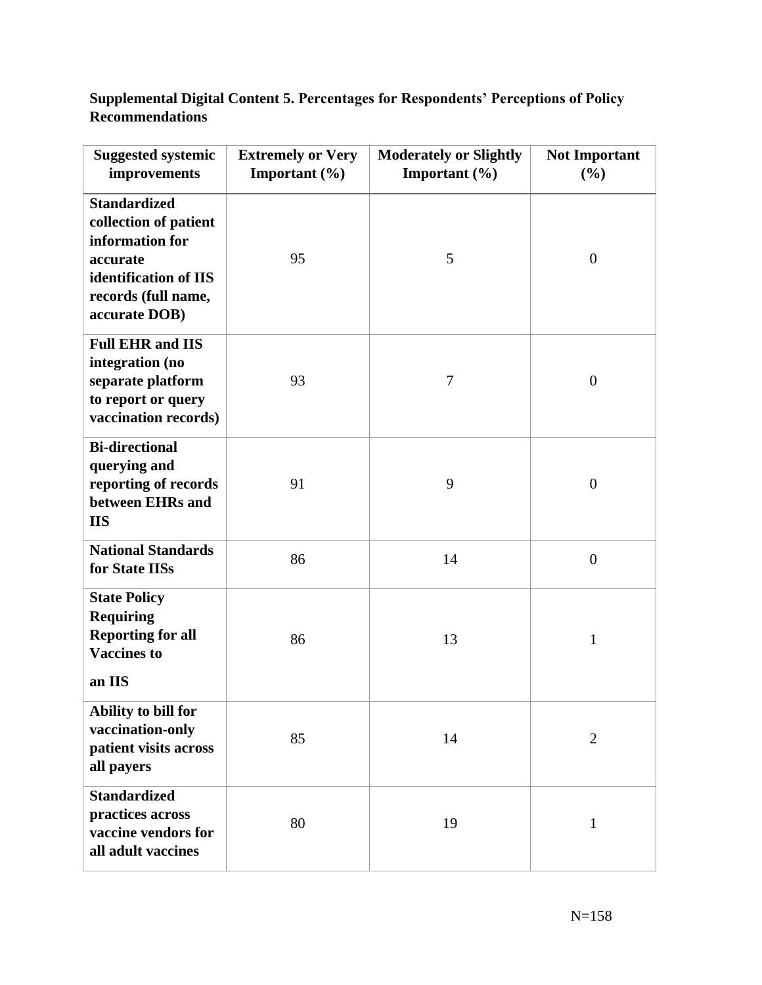**Supplemental Digital Content 5. Percentages for Respondents' Perceptions of Policy Recommendations**

| <b>Suggested systemic</b><br>improvements                                                                                                    | <b>Extremely or Very</b><br>Important $(\% )$ | <b>Moderately or Slightly</b><br>Important $(\% )$ | <b>Not Important</b><br>(%) |
|----------------------------------------------------------------------------------------------------------------------------------------------|-----------------------------------------------|----------------------------------------------------|-----------------------------|
| <b>Standardized</b><br>collection of patient<br>information for<br>accurate<br>identification of IIS<br>records (full name,<br>accurate DOB) | 95                                            | 5                                                  | $\boldsymbol{0}$            |
| <b>Full EHR and IIS</b><br>integration (no<br>separate platform<br>to report or query<br>vaccination records)                                | 93                                            | 7                                                  | $\boldsymbol{0}$            |
| <b>Bi-directional</b><br>querying and<br>reporting of records<br>between EHRs and<br><b>IIS</b>                                              | 91                                            | 9                                                  | $\boldsymbol{0}$            |
| <b>National Standards</b><br>for State IISs                                                                                                  | 86                                            | 14                                                 | $\overline{0}$              |
| <b>State Policy</b><br><b>Requiring</b><br><b>Reporting for all</b><br><b>Vaccines to</b><br>an IIS                                          | 86                                            | 13                                                 | $\mathbf{1}$                |
| Ability to bill for<br>vaccination-only<br>patient visits across<br>all payers                                                               | 85                                            | 14                                                 | $\mathfrak{2}$              |
| <b>Standardized</b><br>practices across<br>vaccine vendors for<br>all adult vaccines                                                         | 80                                            | 19                                                 | 1                           |